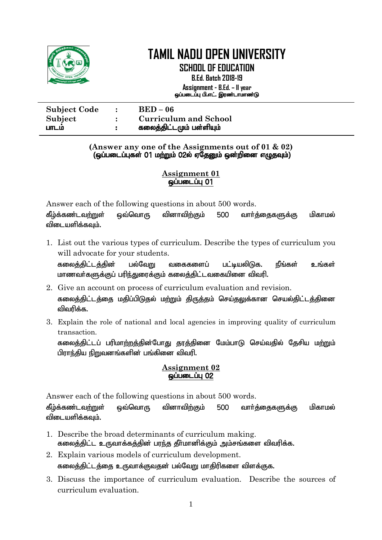

**SCHOOL OF EDUCATION**

**B.Ed. Batch 2018-19 Assignment - B.Ed. – II year** ஒப்படைப்பு பி.எட். இரண்டாமாண்டு

| <b>Subject Code</b> | $BED-06$                     |
|---------------------|------------------------------|
| Subject             | <b>Curriculum and School</b> |
| பாடம                | கலைத்திட்டமும் பள்ளியும்     |

**(Answer any one of the Assignments out of 01 & 02)** (xg;gilg;Gfs; 01 kw;Wk; 02y; VNjDk; xd;wpid vOjTk;)

### **Assignment 01**  $q$ ப்படைப்பு $q$  01

Answer each of the following questions in about 500 words.

கீழ்க்கண்டவற்றுள் ஒவ்வொரு வினாவிற்கும் 500 வார்க்கைகளுக்கு மிகாமல் விடையளிக்கவும்.

1. List out the various types of curriculum. Describe the types of curriculum you will advocate for your students.

கலைத்திட்டத்தின் பல்வேறு வகைகளைப் பட்டியலிடுக. நீங்கள் உங்கள் மாணவர்களுக்குப் பரிந்துரைக்கும் கலைத்திட்டவகையினை விவரி.

- 2. Give an account on process of curriculum evaluation and revision. கலைத்திட்டத்தை மதிப்பிடுதல் மற்றும் திருத்தம் செய்தலுக்கான செயல்திட்டத்தினை விவரிக்க.
- 3. Explain the role of national and local agencies in improving quality of curriculum transaction.

கலைத்திட்டப் பரிமாற்றத்தின்போது தரத்தினை மேம்பாடு செய்வதில் தேசிய மற்றும் பிராந்திய நிறுவனங்களின் பங்கினை விவரி.

### **Assignment 02**  $\overline{\omega}$ ப்படைப்பு $\overline{02}$

Answer each of the following questions in about 500 words.

கீழ்க்கண்டவற்றுள் ஒவ்வொரு வினாவிற்கும் 500 வார்த்தைகளுக்கு மிகாமல் விடையளிக்கவும்.

- 1. Describe the broad determinants of curriculum making. கலைத்திட்ட உருவாக்கத்தின் பரந்த தீர்மானிக்கும் அம்சங்களை விவரிக்க.
- 2. Explain various models of curriculum development. கலைத்திட்டத்தை உருவாக்குவதன் பல்வேறு மாதிரிகளை விளக்குக.
- 3. Discuss the importance of curriculum evaluation. Describe the sources of curriculum evaluation.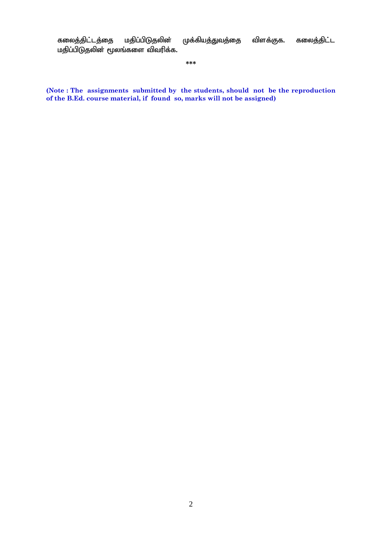கலைத்திட்டத்தை மதிப்பிடுதலின் முக்கியத்துவத்தை விளக்குக. கலைத்திட்ட மதிப்பிடுதலின் மூலங்களை விவரிக்க.

**\*\*\***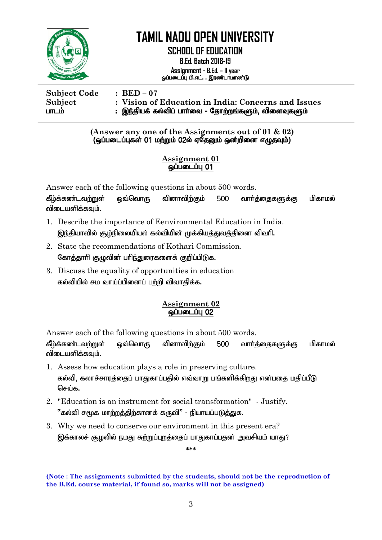

**SCHOOL OF EDUCATION**

**B.Ed. Batch 2018-19 Assignment - B.Ed. – II year**

ஒப்படைப்பு பி.எட். . இரண்டாமாண்டு

**Subject Code : BED – 07 Subject : Vision of Education in India: Concerns and Issues** ghlk; : ,e;jpaf; fy;tpg; ghh;it - Njhw;wq;fSk;> tpisTfSk;

> **(Answer any one of the Assignments out of 01 & 02)**  $\overline{G}$ (ஒப்படைப்புகள் 01 மற்றும் 02ல் ஏதேனும் ஒன்றினை எழுதவும்)

### **Assignment 01**  $q$ ப்படைப்பு $q$  01

Answer each of the following questions in about 500 words.

கீழ்க்கண்டவற்றுள் ஒவ்வொரு வினாவிற்கும் 500 வார்த்தைகளுக்கு மிகாமல் விடையளிக்கவம்.

- 1. Describe the importance of Eenvironmental Education in India. இந்தியாவில் சூழ்நிலையியல் கல்வியின் முக்கியத்துவத்தினை விவரி.
- 2. State the recommendations of Kothari Commission. கோத்தாரி குழுவின் பரிந்துரைகளைக் குறிப்பிடுக.
- 3. Discuss the equality of opportunities in education கல்வியில் சம வாய்ப்பினைப் பற்றி விவாதிக்க.

### **Assignment 02 <u>@</u>ப்படைப்பு 02**

Answer each of the following questions in about 500 words.

கீழ்க்கண்டவ<u>ற்று</u>ள் ஒவ்வொரு வினாவிற்கும் 500 வார்த்தைகளுக்கு மிகாமல் விடையளிக்கவும்.

- 1. Assess how education plays a role in preserving culture. கல்வி, கலாச்சாரத்தைப் பாதுகாப்பதில் எவ்வாறு பங்களிக்கிறது என்பதை மதிப்பீடு செய்க
- 2. "Education is an instrument for social transformation" Justify. ്'கல்வி ச $\epsilon$ மக மாற்றக்கிற்கானக் கருவி $"$  - நியாயப்படுக்குக.
- 3. Why we need to conserve our environment in this present era? இக்காலச் சூழலில் நமது சுற்றுப்புறத்தைப் பாதுகாப்பதன் அவசியம் யாது?

**\*\*\***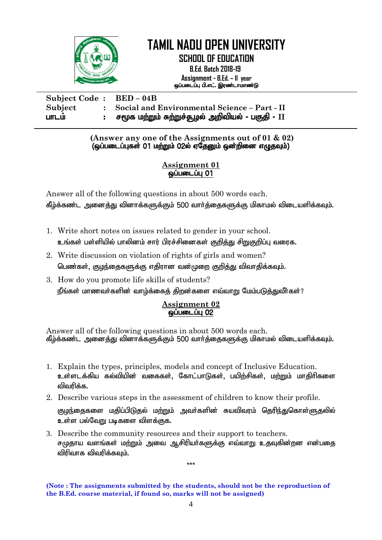

**SCHOOL OF EDUCATION**

 **B.Ed. Batch 2018-19 Assignment - B.Ed. – II year** ஒப்படைப்பு பி.எட். இரண்டாமாண்டு

| Subject Code: BED – 04B |                                                       |
|-------------------------|-------------------------------------------------------|
| Subject                 | : Social and Environmental Science - Part - II        |
| பாடம                    | :    சமூக மற்றும் சுற்றுச்சூழல் அறிவியல் - பகுதி - II |

**(Answer any one of the Assignments out of 01 & 02)** (ஒப்படைப்புகள் 01 மற்றும் 02ல் ஏதேனும் ஒன்றினை எழுதவும்)

### **Assignment 01**   $q$ ப்படைப்பு $q$  01

Answer all of the following questions in about 500 words each. கீழ்க்கண்ட அனைத்து வினாக்களுக்கும் 500 வார்த்தைகளுக்கு மிகாமல் விடையளிக்கவும்.

- 1. Write short notes on issues related to gender in your school. உங்கள் பள்ளியில் பாலினம் சார் பிரச்சினைகள் குறித்து சிறுகுறிப்பு வரைக.
- 2. Write discussion on violation of rights of girls and women? பெண்கள், குழந்தைகளுக்கு எதிரான வன்முறை குறித்து விவாதிக்கவும்.
- 3. How do you promote life skills of students? நீங்கள் மாணவர்களின் வாழ்க்கைத் திறன்களை எவ்வாறு மேம்படுத்துவீர்கள்?

### **Assignment 02 ஒப்படைப்பு 02**

Answer all of the following questions in about 500 words each. கீழ்க்கண்ட அனைத்து வினாக்களுக்கும் 500 வார்த்தைகளுக்கு மிகாமல் விடையளிக்கவும்.

- 1. Explain the types, principles, models and concept of Inclusive Education. உள்ளடக்கிய கல்வியின் வகைகள், கோட்பாடுகள், பயிற்சிகள், மற்றும் மாதிரிகளை விவரிக்க.
- 2. Describe various steps in the assessment of children to know their profile.

குழந்தைகளை மதிப்பிடுதல் மற்றும் அவர்களின் சுயவிவரம் தெரிந்துகொள்ளுதலில் உள்ள பல்வேறு படிகளை விளக்குக.

3. Describe the community resources and their support to teachers. சமுதாய வளங்கள் மற்றும் அவை ஆசிரியர்களுக்கு எவ்வாறு உதவுகின்றன என்பதை விரிவாக விவரிக்கவும்.

\*\*\*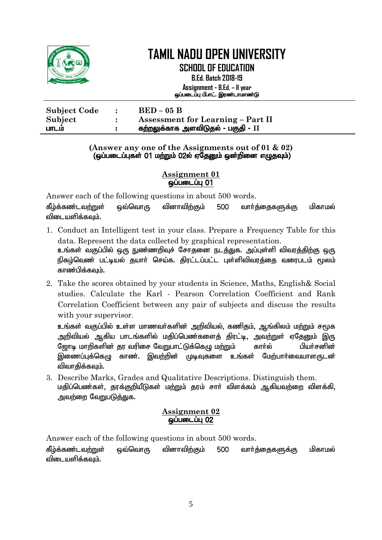

**SCHOOL OF EDUCATION B.Ed. Batch 2018-19**

**Assignment - B.Ed. – II year** ஒப்படைப்பு பி.எட். இரண்டாமாண்டு

| <b>Subject Code</b> | $\mathbf{r}$ | $BED-05 B$                               |
|---------------------|--------------|------------------------------------------|
| Subject             |              | <b>Assessment for Learning – Part II</b> |
| பாடம                | . .          | கற்றலுக்காக அளவிடுதல் - பகுதி - II       |

#### **(Answer any one of the Assignments out of 01 & 02)**  $(q_i)$ ப்படைப்புகள் 01 மற்றும் 02ல் ஏதேனும் ஒன்றினை எழுதவும்

### **Assignment 01**  $\ddot{\rm g}$ ப்படைப்பு $\rm 01$

Answer each of the following questions in about 500 words.

கீழ்க்கண்டவற்றுள் ஒவ்வொரு வினாவிற்கும் 500 வார்க்கைகளுக்கு மிகாமல் விடையளிக்கவும்.

- 1. Conduct an Intelligent test in your class. Prepare a Frequency Table for this data. Represent the data collected by graphical representation. <u>உங்</u>கள் வகுப்பில் ஒரு நுண்ணறிவுச் சோதனை நடத்துக. அப்புள்ளி விவரத்திற்கு ஒரு நிகழ்வெண் பட்டியல் தயார் செய்க. திரட்டப்பட்ட புள்ளிவிவரத்தை வரைபடம் மூலம் காண்பிக்கவும்.
- 2. Take the scores obtained by your students in Science, Maths, English& Social studies. Calculate the Karl - Pearson Correlation Coefficient and Rank Correlation Coefficient between any pair of subjects and discuss the results with your supervisor.

<u>உங்</u>கள் வகுப்பில் உள்ள மாணவர்களின் அறிவியல், கணிதம், ஆங்கிலம் மற்றும் சமூக அறிவியல் ஆகிய பாடங்களில் மகிப்பெண்களைக் கிரட்டி, அவற்றுள் ஏகேனும் இரு N[hb khwpfspd; ju tupir NtWghl;Lf;nfO kw;Wk; fhHy; gpaHrdpd; இணைப்புக்கெழு காண். இவற்றின் முடிவுகளை உங்கள் மேற்பார்வையாளருடன் விவாகிக்கவும்.

3. Describe Marks, Grades and Qualitative Descriptions. Distinguish them. மதிப்பெண்கள், தரக்குறியீடுகள் மற்றும் தரம் சார் விளக்கம் ஆகியவற்றை விளக்கி, அவர்ளை வேறுபடுக்குக.

### **Assignment 02** <u>ைப்படைப்ப</u> 02

Answer each of the following questions in about 500 words.

கீழ்க்கண்டவற்றுள் ஒவ்வொரு வினாவிற்கும் 500 வார்க்கைகளுக்கு மிகாமல் விடையளிக்கவும்.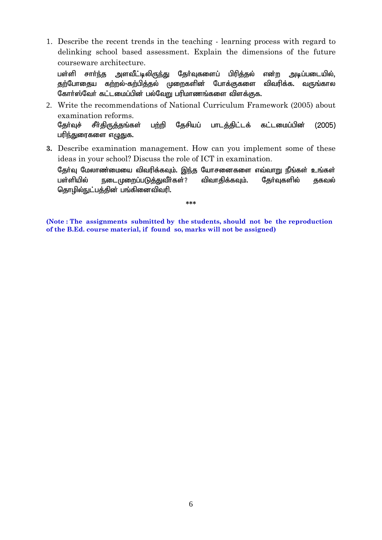1. Describe the recent trends in the teaching - learning process with regard to delinking school based assessment. Explain the dimensions of the future courseware architecture.

பள்ளி சார்ந்த அளவீட்டிலிருந்து தேர்வுகளைப் பிரித்தல் என்ற அடிப்படையில், தற்போதைய கற்றல்-கற்பித்தல் முறைகளின் போக்குகளை விவரிக்க. வருங்கால கோர்ஸ்வேர் கட்டமைப்பின் பல்வேறு பரிமாணங்களை விளக்குக.

- 2. Write the recommendations of National Curriculum Framework (2005) about examination reforms. தேர்வுச் சீர்திருத்தங்கள் பற்றி தேசியப் பாடத்திட்டக் கட்டமைப்பின் (2005) பரிந்துரைகளை எழுதுக.
- **3.** Describe examination management. How can you implement some of these ideas in your school? Discuss the role of ICT in examination. தேர்வு மேலாண்மையை விவரிக்கவும். இந்த யோசனைகளை எவ்வாறு நீங்கள் உங்கள் பள்ளியில் நடைமுறைப்படுத்துவீர்கள்? விவாதிக்கவும். தேர்வுகளில் தகவல் தொழில்நுட்பத்தின் பங்கினைவிவரி.

**\*\*\***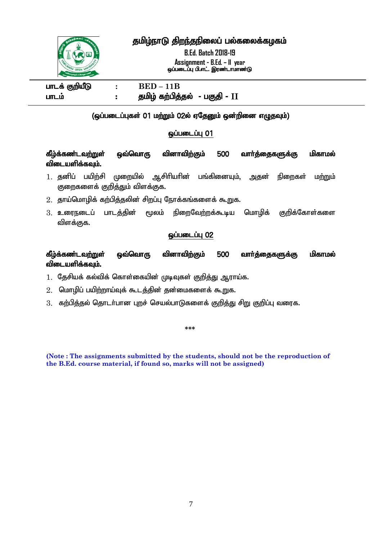தமிழ்நாடு திறந்தநிலைப் பல்கலைக்கழகம்

**B.Ed. Batch 2018-19 Assignment - B.Ed. – II year** ஒப்படைப்பு பி.எட். இரண்டாமாண்டு



# $I = E$  **BED** – 11B ghlk; : jkpo; fw;gpj;jy; - gFjp - **II**

### $\overline{a}$ (ஒப்படைப்புகள் 01 மற்றும் 02ல் ஏதேனும் ஒன்றினை எழுதவும்)

### $\ddot{\mathbf{Q}}$ ப்படைப்பு $\ddot{\mathbf{Q}}$

# கீழ்க்கண்டவற்றுள் ஒவ்வொரு வினாவிற்கும் 500 வார்த்தைகளுக்கு மிகாமல் விடையளிக்கவும்.

- 1. தனிப் பயிற்சி முறையில் ஆசிரியரின் பங்கினையும், அதன் நிறைகள் மற்றும் குறைகளைக் குறிக்கும் விளக்குக.
- $2.$  தாய்மொழிக் கற்பித்தலின் சிறப்பு நோக்கங்களைக் கூறுக.
- $3.$  உரைநடைப் பாடத்தின் மூலம் நிறைவேற்றக்கூடிய மொழிக் குறிக்கோள்களை விளக்குக.

### **ஒப்படைப்பு 02**

கீழ்க்கண்டவற்றுள் ஒவ்வொரு வினாவிற்கும் 500 வார்த்தைகளுக்கு மிகாமல் விடையளிக்கவும்.

 $1.$  தேசியக் கல்விக் கொள்கையின் முடிவுகள் குறித்து ஆராய்க.

- $2.$  மொழிப் பயிற்றாய்வுக் கூடத்தின் தன்மைகளைக் கூறுக.
- $3.$  கற்பித்தல் தொடர்பான புறச் செயல்பாடுகளைக் குறித்து சிறு குறிப்பு வரைக.

**\*\*\***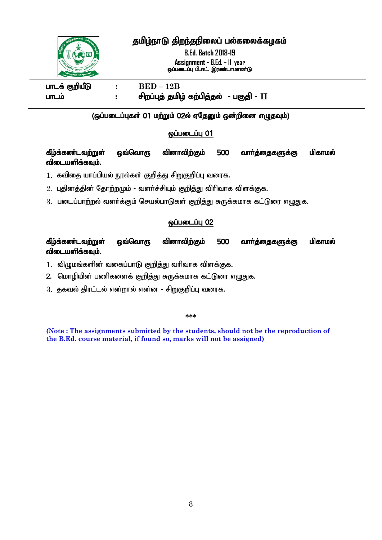

# தமிழ்நாடு திறந்தநிலைப் பல்கலைக்கழகம்

**B.Ed. Batch 2018-19 Assignment - B.Ed. – II year** ஒப்படைப்பு பி.எட். இரண்டாமாண்டு

 $I = E$  **BED** – 12B ghlk; : rpwg;Gj; jkpo; fw;gpj;jy; - gFjp - **II**

#### l (ஒப்படைப்புகள் 01 மற்றும் 02ல் ஏதேனும் ஒன்றினை எழுதவும்)

### $\ddot{\mathbf{Q}}$ ப்படைப்பு $\ddot{\mathbf{Q}}$

### கீழ்க்கண்டவ<u>ற்று</u>ள் ஒவ்வொரு வினாவிற்கும் 500 வார்த்தைகளுக்கு மிகாமல் விடையளிக்கவம்.

- $1.$  கவிதை யாப்பியல் நூல்கள் குறித்து சிறுகுறிப்பு வரைக.
- $2.$  புதினத்தின் தோற்றமும் வளர்ச்சியும் குறித்து விரிவாக விளக்குக.
- 3. படைப்பாற்றல் வளர்க்கும் செயல்பாடுகள் குறித்து சுருக்கமாக கட்டுரை எழுதுக.

### **ஒப்படைப்பு 02**

# கீழ்க்கண்டவற்றுள் ஒவ்வொரு வினாவிற்கும் 500 வாா்த்தைகளுக்கு மிகாமல் விடையளிக்கவும்.

- $1.$  விழுமங்களின் வகைப்பாடு குறித்து வரிவாக விளக்குக.
- 2. மொழியின் பணிகளைக் குறித்து சுருக்கமாக கட்டுரை எழுதுக.
- $3.$  தகவல் திரட்டல் என்றால் என்ன சிறுகுறிப்பு வரைக.

#### **\*\*\***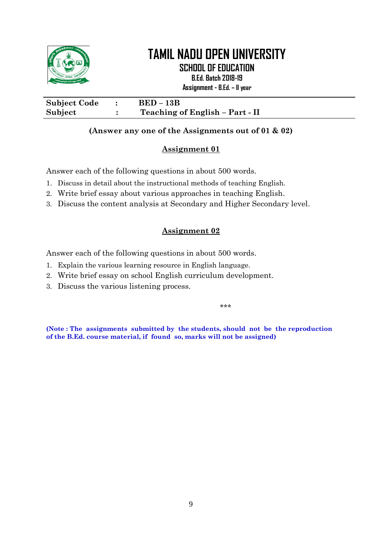

**SCHOOL OF EDUCATION**

**B.Ed. Batch 2018-19**

**Assignment - B.Ed. – II year**

**Subject Code : BED – 13B Subject : Teaching of English – Part - II**

### **(Answer any one of the Assignments out of 01 & 02)**

# **Assignment 01**

Answer each of the following questions in about 500 words.

- 1. Discuss in detail about the instructional methods of teaching English.
- 2. Write brief essay about various approaches in teaching English.
- 3. Discuss the content analysis at Secondary and Higher Secondary level.

# **Assignment 02**

Answer each of the following questions in about 500 words.

- 1. Explain the various learning resource in English language.
- 2. Write brief essay on school English curriculum development.
- 3. Discuss the various listening process.

\*\*\*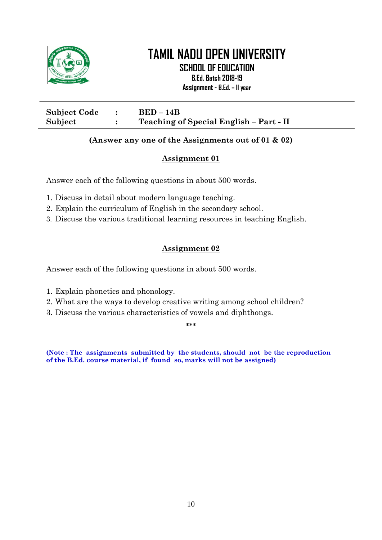

**SCHOOL OF EDUCATION**

**B.Ed. Batch 2018-19**

**Assignment - B.Ed. – II year**

| <b>Subject Code</b> | $BED-14B$                               |
|---------------------|-----------------------------------------|
| Subject             | Teaching of Special English - Part - II |

### **(Answer any one of the Assignments out of 01 & 02)**

### **Assignment 01**

Answer each of the following questions in about 500 words.

- 1. Discuss in detail about modern language teaching.
- 2. Explain the curriculum of English in the secondary school.
- 3. Discuss the various traditional learning resources in teaching English.

# **Assignment 02**

Answer each of the following questions in about 500 words.

- 1. Explain phonetics and phonology.
- 2. What are the ways to develop creative writing among school children?
- 3. Discuss the various characteristics of vowels and diphthongs.

**\*\*\***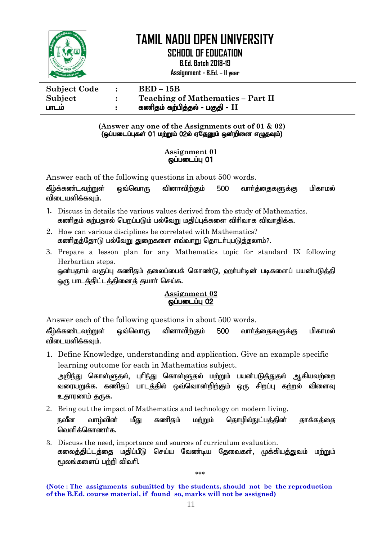

I

# **TAMIL NADU OPEN UNIVERSITY**

**SCHOOL OF EDUCATION**

**B.Ed. Batch 2018-19**

**Assignment - B.Ed. – II year**

| <b>Subject Code</b> | $\mathbb{R}^2$ | $BED-15B$                                |
|---------------------|----------------|------------------------------------------|
| Subject             |                | <b>Teaching of Mathematics - Part II</b> |
| பாடம                |                | கணிதம் கற்பித்தல் - பகுதி - II           |

**(Answer any one of the Assignments out of 01 & 02)**  $\overline{G}$ (ஒப்படைப்புகள் 01 மற்றும் 02ல் ஏதேனும் ஒன்றினை எழுதவும்)

#### **Assignment 01**  $\overline{\phantom{000}}$ டைப்பு $\overline{\phantom{000}}$

Answer each of the following questions in about 500 words.

கீழ்க்கண்டவற்றுள் ஒவ்வொரு வினாவிற்கும் 500 வார்க்கைகளுக்கு மிகாமல் விடையளிக்கவம்.

- 1. Discuss in details the various values derived from the study of Mathematics. கணிதம் கற்பதால் பெறப்படும் பல்வேறு மதிப்புக்களை விரிவாக விவாதிக்க.
- 2. How can various disciplines be correlated with Mathematics? கணிதத்தோடு பல்வேறு துறைகளை எவ்வாறு தொடர்புபடுத்தலாம்?.
- 3. Prepare a lesson plan for any Mathematics topic for standard IX following Herbartian steps.

<u>ஒ</u>ன்பதாம் வகுப்பு கணிதம் தலைப்பைக் கொண்டு, ஹா்பா்டின் படிகளைப் பயன்படுத்தி ஒரு பாடத்திட்டத்தினைத் தயார் செய்க.

#### **Assignment 02 ஒப்படைப்பு 02**

Answer each of the following questions in about 500 words.

கீம்க்கண்டவற்றுள் ஒவ்வொரு வினாவிற்கும் 500 வார்க்கைகளுக்கு மிகாமல் விடையளிக்கவம்.

1. Define Knowledge, understanding and application. Give an example specific learning outcome for each in Mathematics subject.

அறிந்து கொள்ளுதல், புரிந்து கொள்ளுதல் மற்றும் பயன்படுத்துதல் ஆகியவற்றை வரையறுக்க. கணிதப் பாடத்தில் ஒவ்வொன்றிற்கும் ஒரு சிறப்பு கற்றல் விளைவு உதாரணம் தருக.

2. Bring out the impact of Mathematics and technology on modern living.

நவீன வாழ்வின் மீது கணிதம் மற்றும் தொழில்நுட்பத்தின் தாக்கத்தை லொரிக்கொணர்க.

3. Discuss the need, importance and sources of curriculum evaluation. கலைத்திட்டத்தை மதிப்பீடு செய்ய வேண்டிய தேவைகள், முக்கியத்துவம் மற்றும்  $f$ மலங்களைப் பற்றி விவரி.

**\*\*\***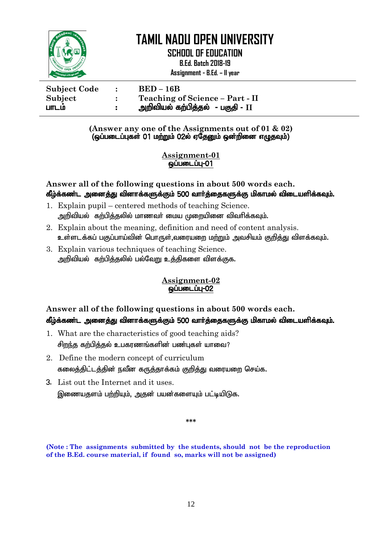

**SCHOOL OF EDUCATION**

**B.Ed. Batch 2018-19**

**Assignment - B.Ed. – II year**

| <b>Subject Code</b> | $BED-16B$                         |
|---------------------|-----------------------------------|
| Subject             | Teaching of Science - Part - II   |
| பாடம                | அறிவியல் கற்பித்தல்  - பகுதி - II |

**(Answer any one of the Assignments out of 01 & 02)** (ஒப்படைப்புகள் 01 மற்றும் 02ல் ஏதேனும் ஒன்றினை எழுதவும்)

> **Assignment-01** ஒப்படைப்பு-01

**Answer all of the following questions in about 500 words each.** கீழ்க்கண்ட அனைத்து வினாக்களுக்கும் 500 வார்த்தைகளுக்கு மிகாமல் விடையளிக்கவும்.

- 1. Explain pupil centered methods of teaching Science. <u>அ</u>றிவியல் கற்பிக்கலில் மாணவர் மைய முறையினை விவரிக்கவம்.
- 2. Explain about the meaning, definition and need of content analysis. உள்ளடக்கப் பகுப்பாய்வின் பொருள்,வரையறை மற்றும் அவசியம் குறித்து விளக்கவும்.
- 3. Explain various techniques of teaching Science. அறிவியல் கற்பித்தலில் பல்வேறு உத்திகளை விளக்குக.

### **Assignment-02 ஒப்படைப்பு-02**

# **Answer all of the following questions in about 500 words each.** கீழ்க்கண்ட அனைத்து வினாக்களுக்கும் 500 வார்த்தைகளுக்கு மிகாமல் விடையளிக்கவும்.

- 1. What are the characteristics of good teaching aids? சிறந்த கற்பித்தல் உபகரணங்களின் பண்புகள் யாவை?
- 2. Define the modern concept of curriculum கலைத்திட்டத்தின் நவீன கருத்தாக்கம் குறித்து வரையறை செய்க.
- 3. List out the Internet and it uses. இணையதளம் பற்றியும், அதன் பயன்களையும் பட்டியிடுக.

**\*\*\***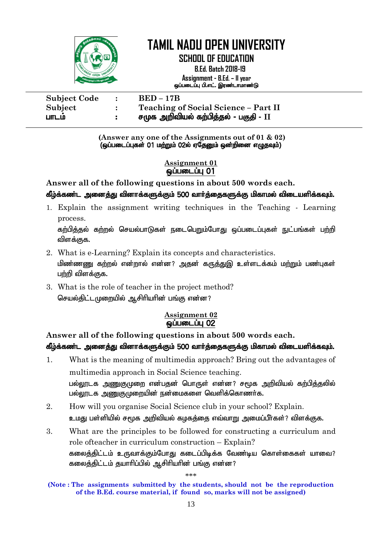

**SCHOOL OF EDUCATION**

 **B.Ed. Batch 2018-19 Assignment - B.Ed. – II year** ஒப்படைப்பு பி.எட். இரண்டாமாண்டு

| <b>Subject Code</b> | $\sim$ 100 $\pm$ | $BED-17B$                             |
|---------------------|------------------|---------------------------------------|
| Subject             |                  | Teaching of Social Science - Part II  |
| பாடம                |                  | சமுக அறிவியல் கற்பித்தல் - பகுதி - II |

**(Answer any one of the Assignments out of 01 & 02)**  $\overline{Q}$  (ஒப்படைப்புகள் 01 மற்றும் 02ல் ஏதேனும் ஒன்றினை எழுதவும்)

#### **Assignment 01 ஒப்படைப்பு 01**

**Answer all of the following questions in about 500 words each.**

### கீழ்க்கண்ட அனைத்து வினாக்களுக்கும் 500 வார்த்தைகளுக்கு மிகாமல் விடையளிக்கவும்.

1. Explain the assignment writing techniques in the Teaching - Learning process.

கற்பித்தல் கற்றல் செயல்பாடுகள் நடைபெறும்போது ஒப்படைப்புகள் நுட்பங்கள் பற்றி விளக்குக.

- 2. What is e-Learning? Explain its concepts and characteristics. <u>மிண்ணணு</u> கற்றல் என்றால் என்ன? அதன் கருத்துஇ உள்ளடக்கம் மற்றும் பண்புகள் பற்றி விளக்குக.
- 3. What is the role of teacher in the project method? செயல்திட்டமுறையில் ஆசிரியரின் பங்கு என்ன?

### **Assignment 02**  ஒப்படைப்பு 02

**Answer all of the following questions in about 500 words each.**

# கீழ்க்கண்ட அனைத்து வினாக்களுக்கும் 500 வார்த்தைகளுக்கு மிகாமல் விடையளிக்கவும்.

- 1. What is the meaning of multimedia approach? Bring out the advantages of multimedia approach in Social Science teaching. பல்லூடக அணுகுமுறை என்பதன் பொருள் என்ன? சமூக அறிவியல் கற்பிக்கலில் பல்லூடக அணுகுமுறையின் நன்மைகளை வெளிக்கொணர்க.
- 2. How will you organise Social Science club in your school? Explain. உமது பள்ளியில் சமூக அறிவியல் கழகத்தை எவ்வாறு அமைப்பீர்கள்? விளக்குக.
- 3. What are the principles to be followed for constructing a curriculum and role ofteacher in curriculum construction – Explain? கலைத்திட்டம் உருவாக்கும்போது கடைப்பிடிக்க வேண்டிய கொள்கைகள் யாவை? கலைத்திட்டம் தயாரிப்பில் ஆசிரியரின் பங்கு என்ன?

\*\*\*

**<sup>(</sup>Note : The assignments submitted by the students, should not be the reproduction of the B.Ed. course material, if found so, marks will not be assigned)**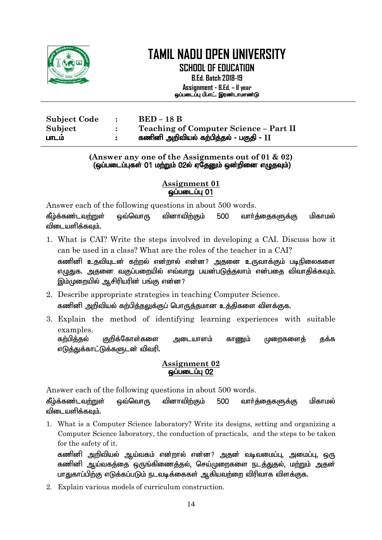

**SCHOOL OF EDUCATION B.Ed. Batch 2018-19 Assignment - B.Ed. – II year** ஒப்படைப்பு பி.எட். இரண்டாமாண்டு

| <b>Subject Code</b> | $\ddot{\cdot}$ | $BED-18 B$                             |
|---------------------|----------------|----------------------------------------|
| Subject             |                | Teaching of Computer Science - Part II |
| பாடம                |                | கணினி அறிவியல் கற்பித்தல் - பகுதி - II |

#### **(Answer any one of the Assignments out of 01 & 02)** (ஒப்படைப்புகள் 01 ம<u>ற்று</u>ம் 02ல் ஏதேனும் ஒன்றினை எழுதவும்)

#### **Assignment 01** ஒப்படைப்பு 01

Answer each of the following questions in about 500 words.

கீழ்க்கண்டவற்றுள் ஒவ்வொரு வினாவிற்கும் 500 வார்த்தைகளுக்கு மிகாமல் விடையளிக்கவும்.

- 1. What is CAI? Write the steps involved in developing a CAI. Discuss how it can be used in a class? What are the roles of the teacher in a CAI? கணினி உதவியுடன் கற்றல் என்றால் என்ன? அதனை உருவாக்கும் படிநிலைகளை எமுதுக. அதனை வகுப்பறையில் எவ்வாறு பயன்படுக்கலாம் என்பதை விவாகிக்கவும். இம்முறையில் ஆசிரியரின் பங்கு என்ன?
- 2. Describe appropriate strategies in teaching Computer Science. கணினி அறிவியல் கற்பிக்கலுக்குப் பொருக்குமான உக்கிகளை விளக்குக.
- 3. Explain the method of identifying learning experiences with suitable examples.

கற்பித்தல் குறிக்கோள்களை அடையாளம் காணும் முறைகளைத் தக்க எடுத்துக்காட்டுக்களுடன் விவரி.

### **Assignment 02 <u>@ப்படைப்பு</u> 02**

Answer each of the following questions in about 500 words.

கீழ்க்கண்டவற்றுள் ஒவ்வொரு வினாவிற்கும் 500 வார்த்தைகளுக்கு மிகாமல் விடையளிக்கவம்.

1. What is a Computer Science laboratory? Write its designs, setting and organizing a Computer Science laboratory, the conduction of practicals, and the steps to be taken for the safety of it.

கணினி அறிவியல் ஆய்வகம் என்றால் என்ன? அதன் வடிவமைப்பு, அமைப்பு, ஒரு கணினி ஆய்வகத்தை ஒருங்கிணைத்தல், செய்முறைகளை நடத்துதல், மற்றும் அதன் பாதுகாப்பிற்கு எடுக்கப்படும் நடவடிக்கைகள் ஆகியவற்றை விரிவாக விளக்குக.

2. Explain various models of curriculum construction.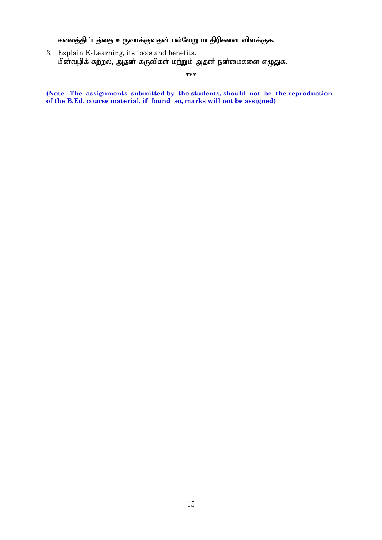கலைத்திட்டத்தை உருவாக்குவதன் பல்வேறு மாதிரிகளை விளக்குக.

3. Explain E-Learning, its tools and benefits. மின்வழிக் கற்றல், அதன் கருவிகள் மற்றும் அதன் நன்மைகளை எழுதுக.

**\*\*\***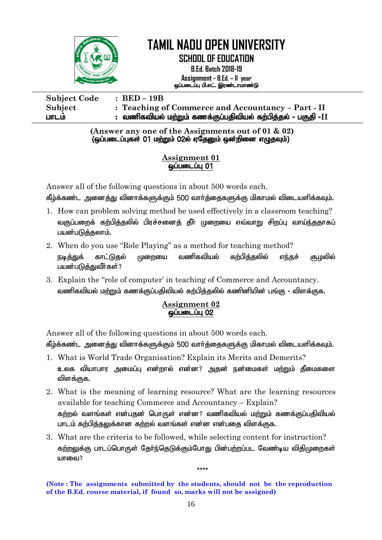

**SCHOOL OF EDUCATION**

**B.Ed. Batch 2018-19 Assignment - B.Ed. – II year** ஒப்படைப்பு பி.எட். இரண்டாமாண்டு

**Subject Code : BED – 19B Subject : Teaching of Commerce and Accountancy – Part - II** ghlk; : tzpftpay; kw;Wk; fzf;Fg;gjptpay; fw;gpj;jy; - gFjp -**II**

> **(Answer any one of the Assignments out of 01 & 02)**  $\overline{Q}$ டுப்படைப்புகள் 01 மற்றும் 02ல் ஏதேனும் ஒன்றினை எழுதவும்

### **Assignment 01**  ஒப்படைப்பு 01

Answer all of the following questions in about 500 words each. கீழ்க்கண்ட அனைத்து வினாக்களுக்கும் 500 வார்த்தைகளுக்கு மிகாமல் விடையளிக்கவும்.

- 1. How can problem solving method be used effectively in a classroom teaching? வகுப்பறைக் கற்பித்தலில் பிரச்சனைத் தீா் முறையை எவ்வாறு சிறப்பு வாய்ந்ததாகப் பயன்படுத்தலாம்.
- 2. When do you use "Role Playing" as a method for teaching method? நடித்துக் காட்டுகுல் மு<u>றை</u>யை வணிகவியல் கற்பித்தலில் எந்தச் சூழலில் பயன்படுக்குவீர்கள்?
- 3. Explain the "role of computer' in teaching of Commerce and Accountancy. வணிகவியல் மற்றும் கணக்குப்பதிவியல் கற்பிக்குலில் கணினியின் பங்கு - விளக்குக.

### **Assignment 02** <u>ஓப்படைப்பு 02</u>

Answer all of the following questions in about 500 words each.

கீழ்க்கண்ட அனைத்து வினாக்களுக்கும் 500 வார்த்தைகளுக்கு மிகாமல் விடையளிக்கவும்.

- 1. What is World Trade Organisation? Explain its Merits and Demerits? உலக வியாபார அமைப்பு என்றால் என்ன? அதன் நன்மைகள் மற்றும் தீமைகளை விளக்குக.
- 2. What is the meaning of learning resource? What are the learning resources available for teaching Commerce and Accountancy – Explain? கற்றல் வளங்கள் என்பதன் பொருள் என்ன? வணிகவியல் மற்றும் கணக்குப்பதிவியல் பாடம் கற்பித்தலுக்கான கற்றல் வளங்கள் என்ன என்பதை விளக்குக.
- 3. What are the criteria to be followed, while selecting content for instruction? கற்றலுக்கு பாடப்பொருள் தேர்ந்தெடுக்கும்போது பின்பற்றப்பட வேண்டிய விதிமுறைகள் யாவை $?$

\*\*\*\*